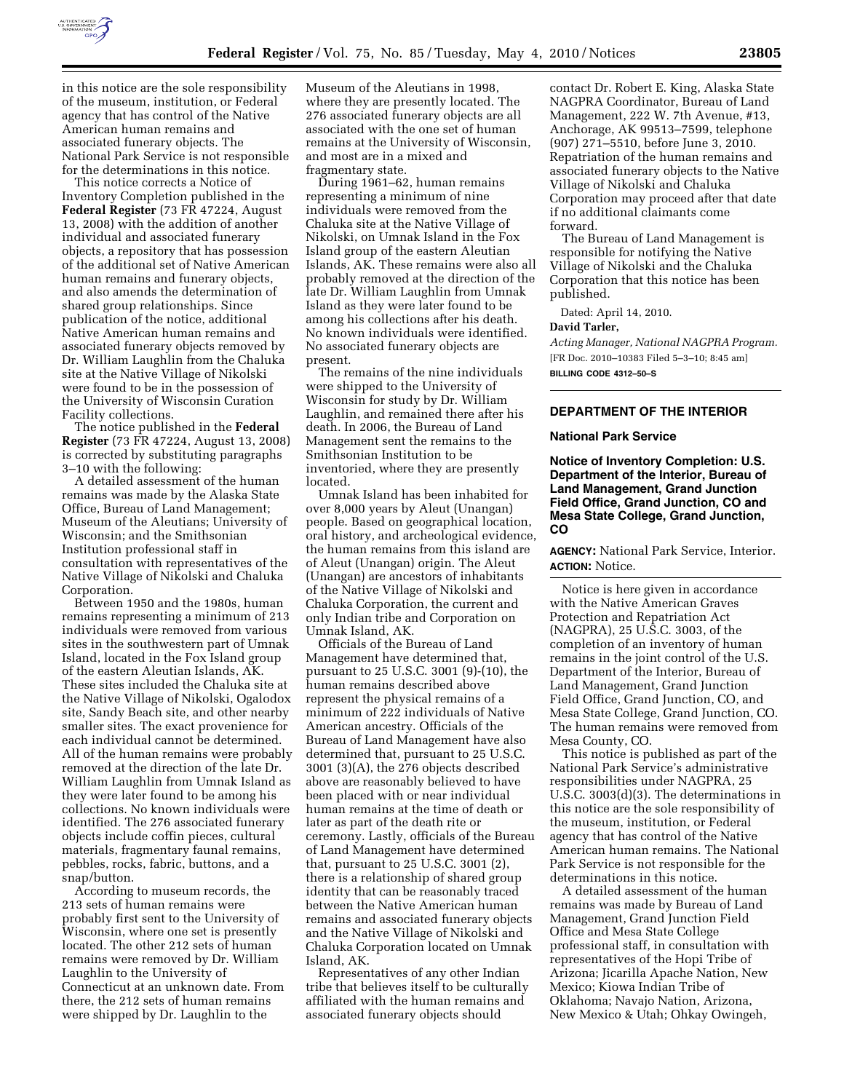

in this notice are the sole responsibility of the museum, institution, or Federal agency that has control of the Native American human remains and associated funerary objects. The National Park Service is not responsible for the determinations in this notice.

This notice corrects a Notice of Inventory Completion published in the **Federal Register** (73 FR 47224, August 13, 2008) with the addition of another individual and associated funerary objects, a repository that has possession of the additional set of Native American human remains and funerary objects, and also amends the determination of shared group relationships. Since publication of the notice, additional Native American human remains and associated funerary objects removed by Dr. William Laughlin from the Chaluka site at the Native Village of Nikolski were found to be in the possession of the University of Wisconsin Curation Facility collections.

The notice published in the **Federal Register** (73 FR 47224, August 13, 2008) is corrected by substituting paragraphs 3–10 with the following:

A detailed assessment of the human remains was made by the Alaska State Office, Bureau of Land Management; Museum of the Aleutians; University of Wisconsin; and the Smithsonian Institution professional staff in consultation with representatives of the Native Village of Nikolski and Chaluka Corporation.

Between 1950 and the 1980s, human remains representing a minimum of 213 individuals were removed from various sites in the southwestern part of Umnak Island, located in the Fox Island group of the eastern Aleutian Islands, AK. These sites included the Chaluka site at the Native Village of Nikolski, Ogalodox site, Sandy Beach site, and other nearby smaller sites. The exact provenience for each individual cannot be determined. All of the human remains were probably removed at the direction of the late Dr. William Laughlin from Umnak Island as they were later found to be among his collections. No known individuals were identified. The 276 associated funerary objects include coffin pieces, cultural materials, fragmentary faunal remains, pebbles, rocks, fabric, buttons, and a snap/button.

According to museum records, the 213 sets of human remains were probably first sent to the University of Wisconsin, where one set is presently located. The other 212 sets of human remains were removed by Dr. William Laughlin to the University of Connecticut at an unknown date. From there, the 212 sets of human remains were shipped by Dr. Laughlin to the

Museum of the Aleutians in 1998, where they are presently located. The 276 associated funerary objects are all associated with the one set of human remains at the University of Wisconsin, and most are in a mixed and fragmentary state.

During 1961–62, human remains representing a minimum of nine individuals were removed from the Chaluka site at the Native Village of Nikolski, on Umnak Island in the Fox Island group of the eastern Aleutian Islands, AK. These remains were also all probably removed at the direction of the late Dr. William Laughlin from Umnak Island as they were later found to be among his collections after his death. No known individuals were identified. No associated funerary objects are present.

The remains of the nine individuals were shipped to the University of Wisconsin for study by Dr. William Laughlin, and remained there after his death. In 2006, the Bureau of Land Management sent the remains to the Smithsonian Institution to be inventoried, where they are presently located.

Umnak Island has been inhabited for over 8,000 years by Aleut (Unangan) people. Based on geographical location, oral history, and archeological evidence, the human remains from this island are of Aleut (Unangan) origin. The Aleut (Unangan) are ancestors of inhabitants of the Native Village of Nikolski and Chaluka Corporation, the current and only Indian tribe and Corporation on Umnak Island, AK.

Officials of the Bureau of Land Management have determined that, pursuant to 25 U.S.C. 3001 (9)-(10), the human remains described above represent the physical remains of a minimum of 222 individuals of Native American ancestry. Officials of the Bureau of Land Management have also determined that, pursuant to 25 U.S.C. 3001 (3)(A), the 276 objects described above are reasonably believed to have been placed with or near individual human remains at the time of death or later as part of the death rite or ceremony. Lastly, officials of the Bureau of Land Management have determined that, pursuant to 25 U.S.C. 3001 (2), there is a relationship of shared group identity that can be reasonably traced between the Native American human remains and associated funerary objects and the Native Village of Nikolski and Chaluka Corporation located on Umnak Island, AK.

Representatives of any other Indian tribe that believes itself to be culturally affiliated with the human remains and associated funerary objects should

contact Dr. Robert E. King, Alaska State NAGPRA Coordinator, Bureau of Land Management, 222 W. 7th Avenue, #13, Anchorage, AK 99513–7599, telephone (907) 271–5510, before June 3, 2010. Repatriation of the human remains and associated funerary objects to the Native Village of Nikolski and Chaluka Corporation may proceed after that date if no additional claimants come forward.

The Bureau of Land Management is responsible for notifying the Native Village of Nikolski and the Chaluka Corporation that this notice has been published.

Dated: April 14, 2010.

## **David Tarler,**

*Acting Manager, National NAGPRA Program.*  [FR Doc. 2010–10383 Filed 5–3–10; 8:45 am] **BILLING CODE 4312–50–S** 

# **DEPARTMENT OF THE INTERIOR**

#### **National Park Service**

**Notice of Inventory Completion: U.S. Department of the Interior, Bureau of Land Management, Grand Junction Field Office, Grand Junction, CO and Mesa State College, Grand Junction, CO** 

**AGENCY:** National Park Service, Interior. **ACTION:** Notice.

Notice is here given in accordance with the Native American Graves Protection and Repatriation Act (NAGPRA), 25 U.S.C. 3003, of the completion of an inventory of human remains in the joint control of the U.S. Department of the Interior, Bureau of Land Management, Grand Junction Field Office, Grand Junction, CO, and Mesa State College, Grand Junction, CO. The human remains were removed from Mesa County, CO.

This notice is published as part of the National Park Service's administrative responsibilities under NAGPRA, 25 U.S.C. 3003(d)(3). The determinations in this notice are the sole responsibility of the museum, institution, or Federal agency that has control of the Native American human remains. The National Park Service is not responsible for the determinations in this notice.

A detailed assessment of the human remains was made by Bureau of Land Management, Grand Junction Field Office and Mesa State College professional staff, in consultation with representatives of the Hopi Tribe of Arizona; Jicarilla Apache Nation, New Mexico; Kiowa Indian Tribe of Oklahoma; Navajo Nation, Arizona, New Mexico & Utah; Ohkay Owingeh,